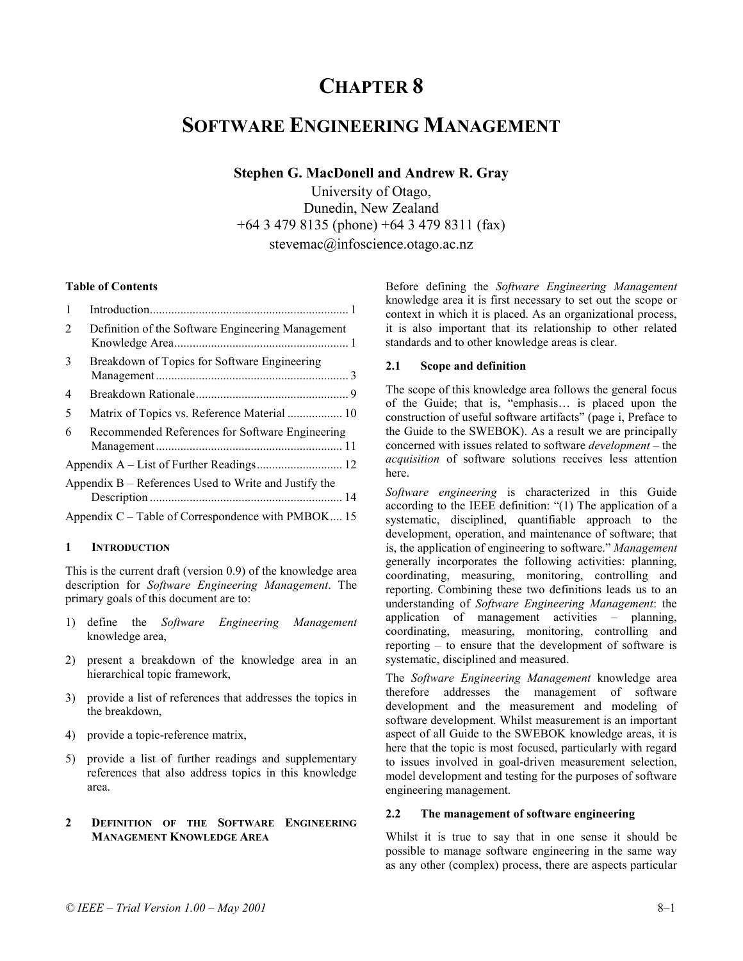# **CHAPTER 8**

## **SOFTWARE ENGINEERING MANAGEMENT**

**Stephen G. MacDonell and Andrew R. Gray**

University of Otago, Dunedin, New Zealand +64 3 479 8135 (phone) +64 3 479 8311 (fax) stevemac@infoscience.otago.ac.nz

## **Table of Contents**

| $\mathbf{1}$   |                                                         |
|----------------|---------------------------------------------------------|
| $\mathfrak{D}$ | Definition of the Software Engineering Management       |
| 3              | Breakdown of Topics for Software Engineering            |
| 4              |                                                         |
| 5              |                                                         |
| 6              | Recommended References for Software Engineering         |
|                |                                                         |
|                | Appendix $B$ – References Used to Write and Justify the |
|                |                                                         |
|                | Appendix C – Table of Correspondence with PMBOK 15      |

#### **1 INTRODUCTION**

This is the current draft (version 0.9) of the knowledge area description for *Software Engineering Management*. The primary goals of this document are to:

- 1) define the *Software Engineering Management* knowledge area,
- 2) present a breakdown of the knowledge area in an hierarchical topic framework,
- 3) provide a list of references that addresses the topics in the breakdown,
- 4) provide a topic-reference matrix,
- 5) provide a list of further readings and supplementary references that also address topics in this knowledge area.

## **2 DEFINITION OF THE SOFTWARE ENGINEERING MANAGEMENT KNOWLEDGE AREA**

Before defining the *Software Engineering Management*  knowledge area it is first necessary to set out the scope or context in which it is placed. As an organizational process, it is also important that its relationship to other related standards and to other knowledge areas is clear.

## **2.1 Scope and definition**

The scope of this knowledge area follows the general focus of the Guide; that is, "emphasis… is placed upon the construction of useful software artifacts" (page i, Preface to the Guide to the SWEBOK). As a result we are principally concerned with issues related to software *development* – the *acquisition* of software solutions receives less attention here.

*Software engineering* is characterized in this Guide according to the IEEE definition: "(1) The application of a systematic, disciplined, quantifiable approach to the development, operation, and maintenance of software; that is, the application of engineering to software." *Management* generally incorporates the following activities: planning, coordinating, measuring, monitoring, controlling and reporting. Combining these two definitions leads us to an understanding of *Software Engineering Management*: the application of management activities – planning, coordinating, measuring, monitoring, controlling and reporting – to ensure that the development of software is systematic, disciplined and measured.

The *Software Engineering Management* knowledge area therefore addresses the management of software development and the measurement and modeling of software development. Whilst measurement is an important aspect of all Guide to the SWEBOK knowledge areas, it is here that the topic is most focused, particularly with regard to issues involved in goal-driven measurement selection, model development and testing for the purposes of software engineering management.

## **2.2 The management of software engineering**

Whilst it is true to say that in one sense it should be possible to manage software engineering in the same way as any other (complex) process, there are aspects particular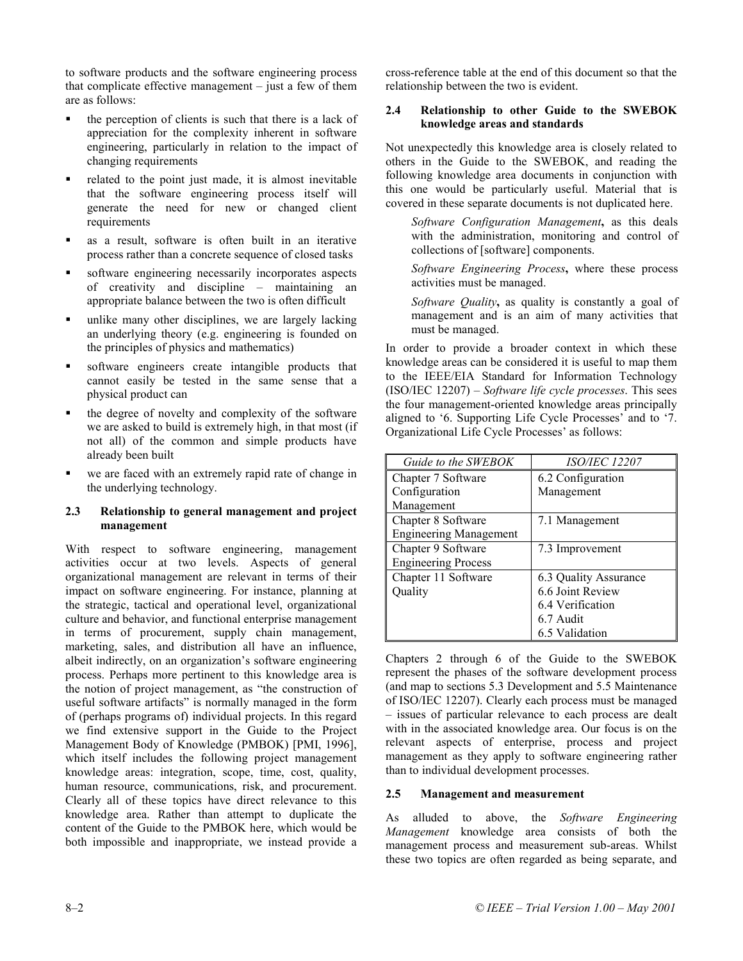to software products and the software engineering process that complicate effective management – just a few of them are as follows:

- the perception of clients is such that there is a lack of appreciation for the complexity inherent in software engineering, particularly in relation to the impact of changing requirements
- related to the point just made, it is almost inevitable that the software engineering process itself will generate the need for new or changed client requirements
- as a result, software is often built in an iterative process rather than a concrete sequence of closed tasks
- software engineering necessarily incorporates aspects of creativity and discipline – maintaining an appropriate balance between the two is often difficult
- unlike many other disciplines, we are largely lacking an underlying theory (e.g. engineering is founded on the principles of physics and mathematics)
- software engineers create intangible products that cannot easily be tested in the same sense that a physical product can
- the degree of novelty and complexity of the software we are asked to build is extremely high, in that most (if not all) of the common and simple products have already been built
- we are faced with an extremely rapid rate of change in the underlying technology.

## **2.3 Relationship to general management and project management**

With respect to software engineering, management activities occur at two levels. Aspects of general organizational management are relevant in terms of their impact on software engineering. For instance, planning at the strategic, tactical and operational level, organizational culture and behavior, and functional enterprise management in terms of procurement, supply chain management, marketing, sales, and distribution all have an influence, albeit indirectly, on an organization's software engineering process. Perhaps more pertinent to this knowledge area is the notion of project management, as "the construction of useful software artifacts" is normally managed in the form of (perhaps programs of) individual projects. In this regard we find extensive support in the Guide to the Project Management Body of Knowledge (PMBOK) [PMI, 1996], which itself includes the following project management knowledge areas: integration, scope, time, cost, quality, human resource, communications, risk, and procurement. Clearly all of these topics have direct relevance to this knowledge area. Rather than attempt to duplicate the content of the Guide to the PMBOK here, which would be both impossible and inappropriate, we instead provide a

cross-reference table at the end of this document so that the relationship between the two is evident.

## **2.4 Relationship to other Guide to the SWEBOK knowledge areas and standards**

Not unexpectedly this knowledge area is closely related to others in the Guide to the SWEBOK, and reading the following knowledge area documents in conjunction with this one would be particularly useful. Material that is covered in these separate documents is not duplicated here.

*Software Configuration Management***,** as this deals with the administration, monitoring and control of collections of [software] components.

*Software Engineering Process***,** where these process activities must be managed.

*Software Quality***,** as quality is constantly a goal of management and is an aim of many activities that must be managed.

In order to provide a broader context in which these knowledge areas can be considered it is useful to map them to the IEEE/EIA Standard for Information Technology (ISO/IEC 12207) – *Software life cycle processes*. This sees the four management-oriented knowledge areas principally aligned to '6. Supporting Life Cycle Processes' and to '7. Organizational Life Cycle Processes' as follows:

| Guide to the SWEBOK           | <i>ISO/IEC 12207</i>  |  |  |  |
|-------------------------------|-----------------------|--|--|--|
| Chapter 7 Software            | 6.2 Configuration     |  |  |  |
| Configuration                 | Management            |  |  |  |
| Management                    |                       |  |  |  |
| Chapter 8 Software            | 7.1 Management        |  |  |  |
| <b>Engineering Management</b> |                       |  |  |  |
| Chapter 9 Software            | 7.3 Improvement       |  |  |  |
| <b>Engineering Process</b>    |                       |  |  |  |
| Chapter 11 Software           | 6.3 Quality Assurance |  |  |  |
| Quality                       | 6.6 Joint Review      |  |  |  |
|                               | 6.4 Verification      |  |  |  |
|                               | 6.7 Audit             |  |  |  |
|                               | 6.5 Validation        |  |  |  |

Chapters 2 through 6 of the Guide to the SWEBOK represent the phases of the software development process (and map to sections 5.3 Development and 5.5 Maintenance of ISO/IEC 12207). Clearly each process must be managed – issues of particular relevance to each process are dealt with in the associated knowledge area. Our focus is on the relevant aspects of enterprise, process and project management as they apply to software engineering rather than to individual development processes.

## **2.5 Management and measurement**

As alluded to above, the *Software Engineering Management* knowledge area consists of both the management process and measurement sub-areas. Whilst these two topics are often regarded as being separate, and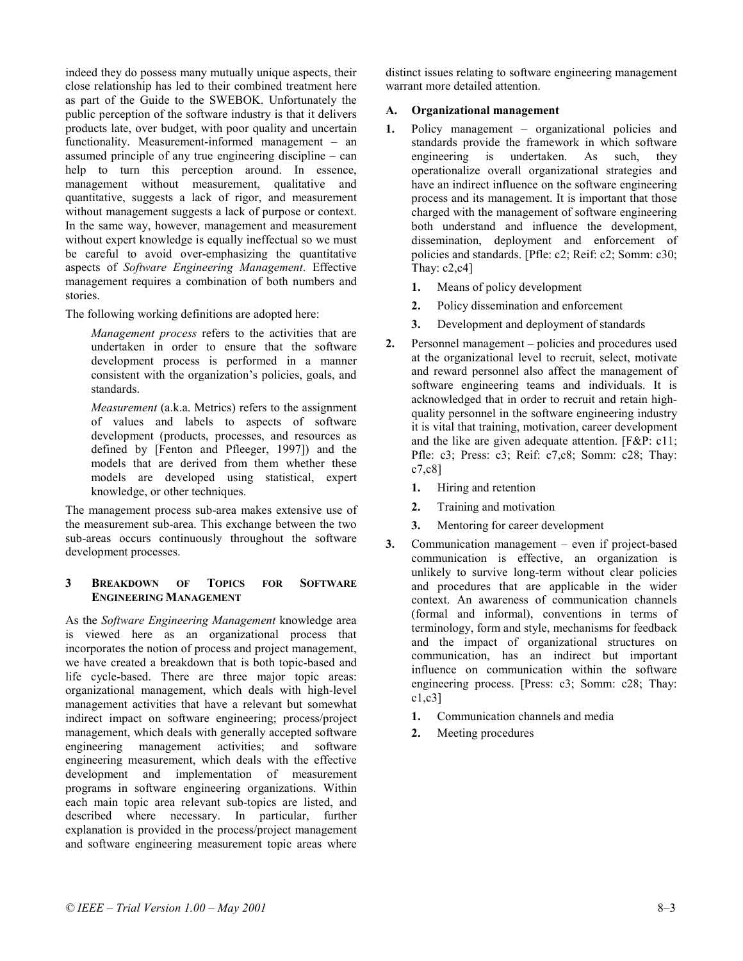indeed they do possess many mutually unique aspects, their close relationship has led to their combined treatment here as part of the Guide to the SWEBOK. Unfortunately the public perception of the software industry is that it delivers products late, over budget, with poor quality and uncertain functionality. Measurement-informed management – an assumed principle of any true engineering discipline – can help to turn this perception around. In essence, management without measurement, qualitative and quantitative, suggests a lack of rigor, and measurement without management suggests a lack of purpose or context. In the same way, however, management and measurement without expert knowledge is equally ineffectual so we must be careful to avoid over-emphasizing the quantitative aspects of *Software Engineering Management*. Effective management requires a combination of both numbers and stories.

The following working definitions are adopted here:

*Management process* refers to the activities that are undertaken in order to ensure that the software development process is performed in a manner consistent with the organization's policies, goals, and standards.

*Measurement* (a.k.a. Metrics) refers to the assignment of values and labels to aspects of software development (products, processes, and resources as defined by [Fenton and Pfleeger, 1997]) and the models that are derived from them whether these models are developed using statistical, expert knowledge, or other techniques.

The management process sub-area makes extensive use of the measurement sub-area. This exchange between the two sub-areas occurs continuously throughout the software development processes.

## **3 BREAKDOWN OF TOPICS FOR SOFTWARE ENGINEERING MANAGEMENT**

As the *Software Engineering Management* knowledge area is viewed here as an organizational process that incorporates the notion of process and project management, we have created a breakdown that is both topic-based and life cycle-based. There are three major topic areas: organizational management, which deals with high-level management activities that have a relevant but somewhat indirect impact on software engineering; process/project management, which deals with generally accepted software engineering management activities; and software engineering measurement, which deals with the effective development and implementation of measurement programs in software engineering organizations. Within each main topic area relevant sub-topics are listed, and described where necessary. In particular, further explanation is provided in the process/project management and software engineering measurement topic areas where

distinct issues relating to software engineering management warrant more detailed attention.

## **A. Organizational management**

- **1.** Policy management organizational policies and standards provide the framework in which software engineering is undertaken. As such, they operationalize overall organizational strategies and have an indirect influence on the software engineering process and its management. It is important that those charged with the management of software engineering both understand and influence the development, dissemination, deployment and enforcement of policies and standards. [Pfle: c2; Reif: c2; Somm: c30; Thay: c2,c4]
	- **1.** Means of policy development
	- **2.** Policy dissemination and enforcement
	- **3.** Development and deployment of standards
- **2.** Personnel management policies and procedures used at the organizational level to recruit, select, motivate and reward personnel also affect the management of software engineering teams and individuals. It is acknowledged that in order to recruit and retain highquality personnel in the software engineering industry it is vital that training, motivation, career development and the like are given adequate attention. [F&P: c11; Pfle: c3; Press: c3; Reif: c7,c8; Somm: c28; Thay: c7,c8]
	- **1.** Hiring and retention
	- **2.** Training and motivation
	- **3.** Mentoring for career development
- **3.** Communication management even if project-based communication is effective, an organization is unlikely to survive long-term without clear policies and procedures that are applicable in the wider context. An awareness of communication channels (formal and informal), conventions in terms of terminology, form and style, mechanisms for feedback and the impact of organizational structures on communication, has an indirect but important influence on communication within the software engineering process. [Press: c3; Somm: c28; Thay: c1,c3]
	- **1.** Communication channels and media
	- **2.** Meeting procedures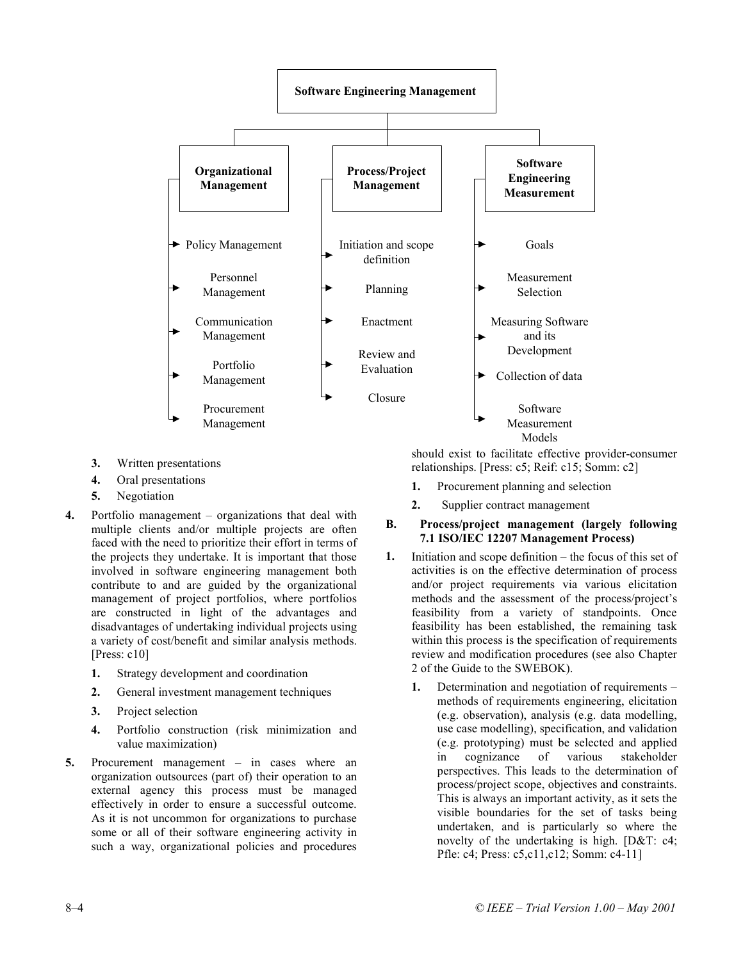

- **3.** Written presentations
- **4.** Oral presentations
- **5.** Negotiation
- **4.** Portfolio management organizations that deal with multiple clients and/or multiple projects are often faced with the need to prioritize their effort in terms of the projects they undertake. It is important that those involved in software engineering management both contribute to and are guided by the organizational management of project portfolios, where portfolios are constructed in light of the advantages and disadvantages of undertaking individual projects using a variety of cost/benefit and similar analysis methods. [Press: c10]
	- **1.** Strategy development and coordination
	- **2.** General investment management techniques
	- **3.** Project selection
	- **4.** Portfolio construction (risk minimization and value maximization)
- **5.** Procurement management in cases where an organization outsources (part of) their operation to an external agency this process must be managed effectively in order to ensure a successful outcome. As it is not uncommon for organizations to purchase some or all of their software engineering activity in such a way, organizational policies and procedures

should exist to facilitate effective provider-consumer relationships. [Press: c5; Reif: c15; Somm: c2]

- **1.** Procurement planning and selection
- **2.** Supplier contract management

## **B. Process/project management (largely following 7.1 ISO/IEC 12207 Management Process)**

- **1.** Initiation and scope definition the focus of this set of activities is on the effective determination of process and/or project requirements via various elicitation methods and the assessment of the process/project's feasibility from a variety of standpoints. Once feasibility has been established, the remaining task within this process is the specification of requirements review and modification procedures (see also Chapter 2 of the Guide to the SWEBOK).
	- **1.** Determination and negotiation of requirements methods of requirements engineering, elicitation (e.g. observation), analysis (e.g. data modelling, use case modelling), specification, and validation (e.g. prototyping) must be selected and applied in cognizance of various stakeholder perspectives. This leads to the determination of process/project scope, objectives and constraints. This is always an important activity, as it sets the visible boundaries for the set of tasks being undertaken, and is particularly so where the novelty of the undertaking is high. [D&T: c4; Pfle: c4; Press: c5,c11,c12; Somm: c4-11]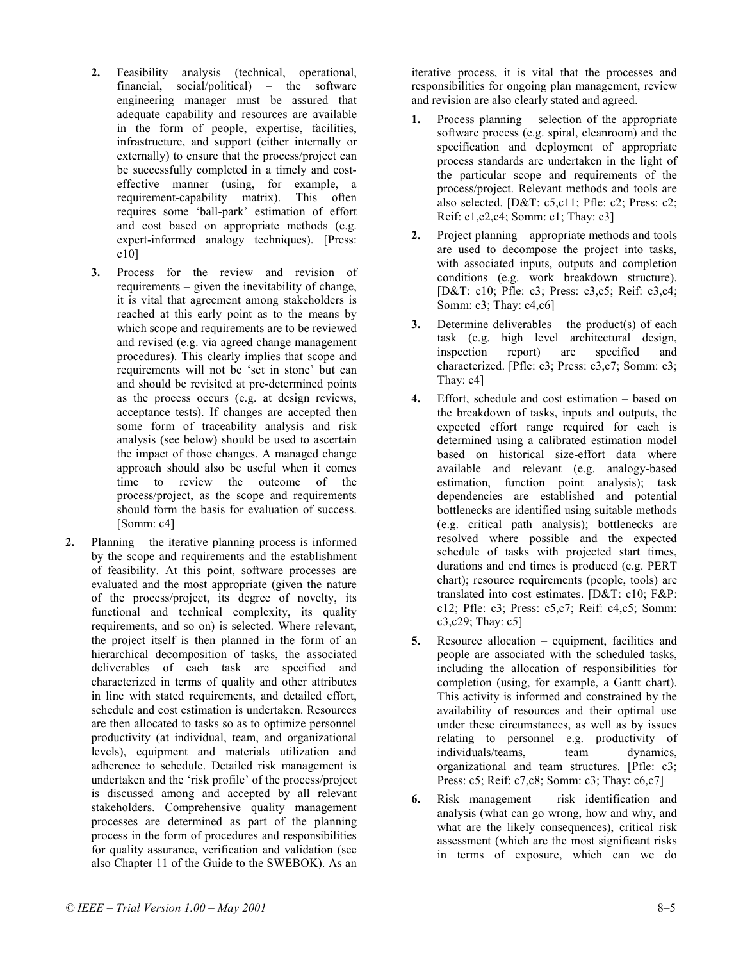- **2.** Feasibility analysis (technical, operational, financial, social/political) – the software engineering manager must be assured that adequate capability and resources are available in the form of people, expertise, facilities, infrastructure, and support (either internally or externally) to ensure that the process/project can be successfully completed in a timely and costeffective manner (using, for example, a requirement-capability matrix). This often requires some 'ball-park' estimation of effort and cost based on appropriate methods (e.g. expert-informed analogy techniques). [Press: c10]
- **3.** Process for the review and revision of requirements – given the inevitability of change, it is vital that agreement among stakeholders is reached at this early point as to the means by which scope and requirements are to be reviewed and revised (e.g. via agreed change management procedures). This clearly implies that scope and requirements will not be 'set in stone' but can and should be revisited at pre-determined points as the process occurs (e.g. at design reviews, acceptance tests). If changes are accepted then some form of traceability analysis and risk analysis (see below) should be used to ascertain the impact of those changes. A managed change approach should also be useful when it comes time to review the outcome of the process/project, as the scope and requirements should form the basis for evaluation of success. [Somm: c4]
- **2.** Planning the iterative planning process is informed by the scope and requirements and the establishment of feasibility. At this point, software processes are evaluated and the most appropriate (given the nature of the process/project, its degree of novelty, its functional and technical complexity, its quality requirements, and so on) is selected. Where relevant, the project itself is then planned in the form of an hierarchical decomposition of tasks, the associated deliverables of each task are specified and characterized in terms of quality and other attributes in line with stated requirements, and detailed effort, schedule and cost estimation is undertaken. Resources are then allocated to tasks so as to optimize personnel productivity (at individual, team, and organizational levels), equipment and materials utilization and adherence to schedule. Detailed risk management is undertaken and the 'risk profile' of the process/project is discussed among and accepted by all relevant stakeholders. Comprehensive quality management processes are determined as part of the planning process in the form of procedures and responsibilities for quality assurance, verification and validation (see also Chapter 11 of the Guide to the SWEBOK). As an

iterative process, it is vital that the processes and responsibilities for ongoing plan management, review and revision are also clearly stated and agreed.

- Process planning selection of the appropriate software process (e.g. spiral, cleanroom) and the specification and deployment of appropriate process standards are undertaken in the light of the particular scope and requirements of the process/project. Relevant methods and tools are also selected. [D&T: c5,c11; Pfle: c2; Press: c2; Reif: c1,c2,c4; Somm: c1; Thay: c3]
- **2.** Project planning appropriate methods and tools are used to decompose the project into tasks, with associated inputs, outputs and completion conditions (e.g. work breakdown structure). [D&T: c10; Pfle: c3; Press: c3,c5; Reif: c3,c4; Somm: c3; Thay: c4,c6]
- **3.** Determine deliverables the product(s) of each task (e.g. high level architectural design, inspection report) are specified and characterized. [Pfle: c3; Press: c3,c7; Somm: c3; Thay: c4]
- **4.** Effort, schedule and cost estimation based on the breakdown of tasks, inputs and outputs, the expected effort range required for each is determined using a calibrated estimation model based on historical size-effort data where available and relevant (e.g. analogy-based estimation, function point analysis); task dependencies are established and potential bottlenecks are identified using suitable methods (e.g. critical path analysis); bottlenecks are resolved where possible and the expected schedule of tasks with projected start times, durations and end times is produced (e.g. PERT chart); resource requirements (people, tools) are translated into cost estimates. [D&T: c10; F&P: c12; Pfle: c3; Press: c5,c7; Reif: c4,c5; Somm: c3,c29; Thay: c5]
- **5.** Resource allocation equipment, facilities and people are associated with the scheduled tasks, including the allocation of responsibilities for completion (using, for example, a Gantt chart). This activity is informed and constrained by the availability of resources and their optimal use under these circumstances, as well as by issues relating to personnel e.g. productivity of individuals/teams, team dynamics, organizational and team structures. [Pfle: c3; Press: c5; Reif: c7,c8; Somm: c3; Thay: c6,c7]
- **6.** Risk management risk identification and analysis (what can go wrong, how and why, and what are the likely consequences), critical risk assessment (which are the most significant risks in terms of exposure, which can we do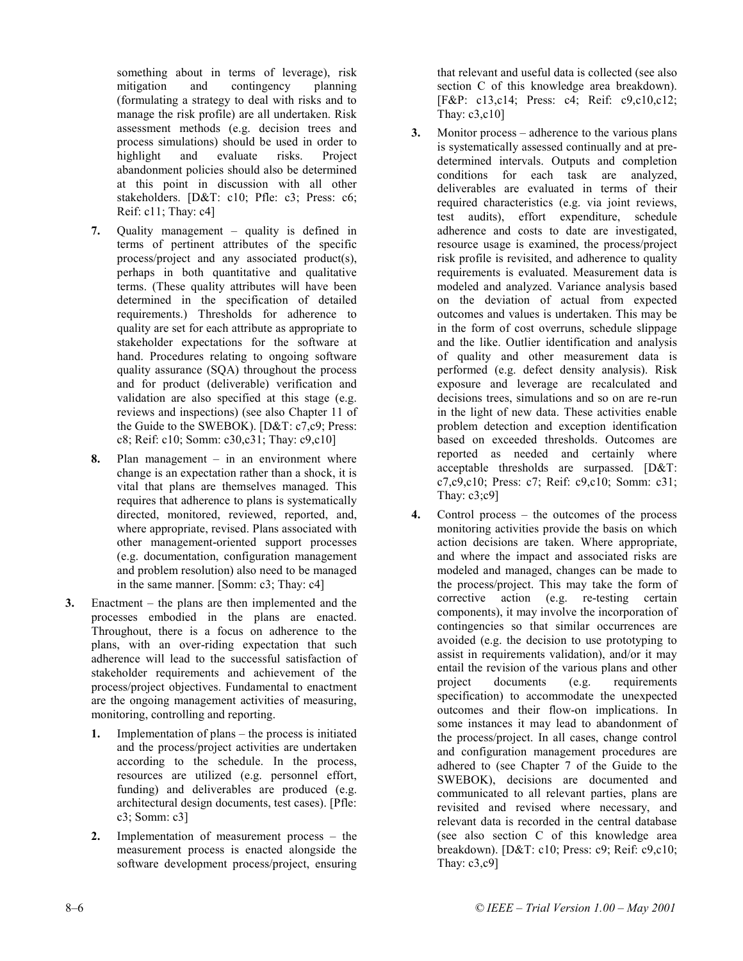something about in terms of leverage), risk mitigation and contingency planning (formulating a strategy to deal with risks and to manage the risk profile) are all undertaken. Risk assessment methods (e.g. decision trees and process simulations) should be used in order to highlight and evaluate risks. Project abandonment policies should also be determined at this point in discussion with all other stakeholders. [D&T: c10; Pfle: c3; Press: c6; Reif: c11; Thay: c4]

- **7.** Quality management quality is defined in terms of pertinent attributes of the specific process/project and any associated product(s), perhaps in both quantitative and qualitative terms. (These quality attributes will have been determined in the specification of detailed requirements.) Thresholds for adherence to quality are set for each attribute as appropriate to stakeholder expectations for the software at hand. Procedures relating to ongoing software quality assurance (SQA) throughout the process and for product (deliverable) verification and validation are also specified at this stage (e.g. reviews and inspections) (see also Chapter 11 of the Guide to the SWEBOK). [D&T: c7,c9; Press: c8; Reif: c10; Somm: c30,c31; Thay: c9,c10]
- **8.** Plan management in an environment where change is an expectation rather than a shock, it is vital that plans are themselves managed. This requires that adherence to plans is systematically directed, monitored, reviewed, reported, and, where appropriate, revised. Plans associated with other management-oriented support processes (e.g. documentation, configuration management and problem resolution) also need to be managed in the same manner. [Somm: c3; Thay: c4]
- **3.** Enactment the plans are then implemented and the processes embodied in the plans are enacted. Throughout, there is a focus on adherence to the plans, with an over-riding expectation that such adherence will lead to the successful satisfaction of stakeholder requirements and achievement of the process/project objectives. Fundamental to enactment are the ongoing management activities of measuring, monitoring, controlling and reporting.
	- **1.** Implementation of plans the process is initiated and the process/project activities are undertaken according to the schedule. In the process, resources are utilized (e.g. personnel effort, funding) and deliverables are produced (e.g. architectural design documents, test cases). [Pfle: c3; Somm: c3]
	- **2.** Implementation of measurement process the measurement process is enacted alongside the software development process/project, ensuring

that relevant and useful data is collected (see also section C of this knowledge area breakdown). [F&P: c13,c14; Press: c4; Reif: c9,c10,c12; Thay: c3,c10]

- **3.** Monitor process adherence to the various plans is systematically assessed continually and at predetermined intervals. Outputs and completion conditions for each task are analyzed, deliverables are evaluated in terms of their required characteristics (e.g. via joint reviews, test audits), effort expenditure, schedule adherence and costs to date are investigated, resource usage is examined, the process/project risk profile is revisited, and adherence to quality requirements is evaluated. Measurement data is modeled and analyzed. Variance analysis based on the deviation of actual from expected outcomes and values is undertaken. This may be in the form of cost overruns, schedule slippage and the like. Outlier identification and analysis of quality and other measurement data is performed (e.g. defect density analysis). Risk exposure and leverage are recalculated and decisions trees, simulations and so on are re-run in the light of new data. These activities enable problem detection and exception identification based on exceeded thresholds. Outcomes are reported as needed and certainly where acceptable thresholds are surpassed. [D&T: c7,c9,c10; Press: c7; Reif: c9,c10; Somm: c31; Thay: c3;c9]
- **4.** Control process the outcomes of the process monitoring activities provide the basis on which action decisions are taken. Where appropriate, and where the impact and associated risks are modeled and managed, changes can be made to the process/project. This may take the form of corrective action (e.g. re-testing certain components), it may involve the incorporation of contingencies so that similar occurrences are avoided (e.g. the decision to use prototyping to assist in requirements validation), and/or it may entail the revision of the various plans and other project documents (e.g. requirements specification) to accommodate the unexpected outcomes and their flow-on implications. In some instances it may lead to abandonment of the process/project. In all cases, change control and configuration management procedures are adhered to (see Chapter 7 of the Guide to the SWEBOK), decisions are documented and communicated to all relevant parties, plans are revisited and revised where necessary, and relevant data is recorded in the central database (see also section C of this knowledge area breakdown). [D&T: c10; Press: c9; Reif: c9,c10; Thay: c3,c9]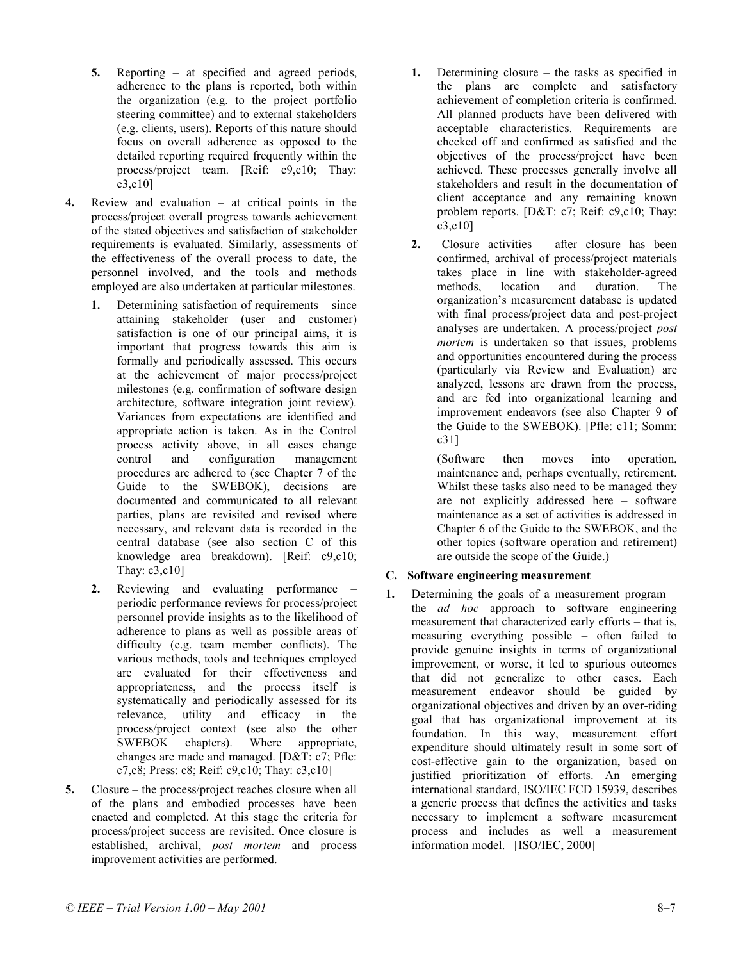- **5.** Reporting at specified and agreed periods, adherence to the plans is reported, both within the organization (e.g. to the project portfolio steering committee) and to external stakeholders (e.g. clients, users). Reports of this nature should focus on overall adherence as opposed to the detailed reporting required frequently within the process/project team. [Reif: c9,c10; Thay: c3,c10]
- **4.** Review and evaluation at critical points in the process/project overall progress towards achievement of the stated objectives and satisfaction of stakeholder requirements is evaluated. Similarly, assessments of the effectiveness of the overall process to date, the personnel involved, and the tools and methods employed are also undertaken at particular milestones.
	- **1.** Determining satisfaction of requirements since attaining stakeholder (user and customer) satisfaction is one of our principal aims, it is important that progress towards this aim is formally and periodically assessed. This occurs at the achievement of major process/project milestones (e.g. confirmation of software design architecture, software integration joint review). Variances from expectations are identified and appropriate action is taken. As in the Control process activity above, in all cases change control and configuration management procedures are adhered to (see Chapter 7 of the Guide to the SWEBOK), decisions are documented and communicated to all relevant parties, plans are revisited and revised where necessary, and relevant data is recorded in the central database (see also section C of this knowledge area breakdown). [Reif: c9,c10; Thay: c3,c10]
	- **2.** Reviewing and evaluating performance periodic performance reviews for process/project personnel provide insights as to the likelihood of adherence to plans as well as possible areas of difficulty (e.g. team member conflicts). The various methods, tools and techniques employed are evaluated for their effectiveness and appropriateness, and the process itself is systematically and periodically assessed for its relevance, utility and efficacy in the process/project context (see also the other SWEBOK chapters). Where appropriate, changes are made and managed. [D&T: c7; Pfle: c7,c8; Press: c8; Reif: c9,c10; Thay: c3,c10]
- **5.** Closure the process/project reaches closure when all of the plans and embodied processes have been enacted and completed. At this stage the criteria for process/project success are revisited. Once closure is established, archival, *post mortem* and process improvement activities are performed.
- **1.** Determining closure the tasks as specified in the plans are complete and satisfactory achievement of completion criteria is confirmed. All planned products have been delivered with acceptable characteristics. Requirements are checked off and confirmed as satisfied and the objectives of the process/project have been achieved. These processes generally involve all stakeholders and result in the documentation of client acceptance and any remaining known problem reports. [D&T: c7; Reif: c9,c10; Thay: c3,c10]
- **2.** Closure activities after closure has been confirmed, archival of process/project materials takes place in line with stakeholder-agreed methods, location and duration. The organization's measurement database is updated with final process/project data and post-project analyses are undertaken. A process/project *post mortem* is undertaken so that issues, problems and opportunities encountered during the process (particularly via Review and Evaluation) are analyzed, lessons are drawn from the process, and are fed into organizational learning and improvement endeavors (see also Chapter 9 of the Guide to the SWEBOK). [Pfle: c11; Somm: c31]

(Software then moves into operation, maintenance and, perhaps eventually, retirement. Whilst these tasks also need to be managed they are not explicitly addressed here – software maintenance as a set of activities is addressed in Chapter 6 of the Guide to the SWEBOK, and the other topics (software operation and retirement) are outside the scope of the Guide.)

## **C. Software engineering measurement**

**1.** Determining the goals of a measurement program – the *ad hoc* approach to software engineering measurement that characterized early efforts – that is, measuring everything possible – often failed to provide genuine insights in terms of organizational improvement, or worse, it led to spurious outcomes that did not generalize to other cases. Each measurement endeavor should be guided by organizational objectives and driven by an over-riding goal that has organizational improvement at its foundation. In this way, measurement effort expenditure should ultimately result in some sort of cost-effective gain to the organization, based on justified prioritization of efforts. An emerging international standard, ISO/IEC FCD 15939, describes a generic process that defines the activities and tasks necessary to implement a software measurement process and includes as well a measurement information model. [ISO/IEC, 2000]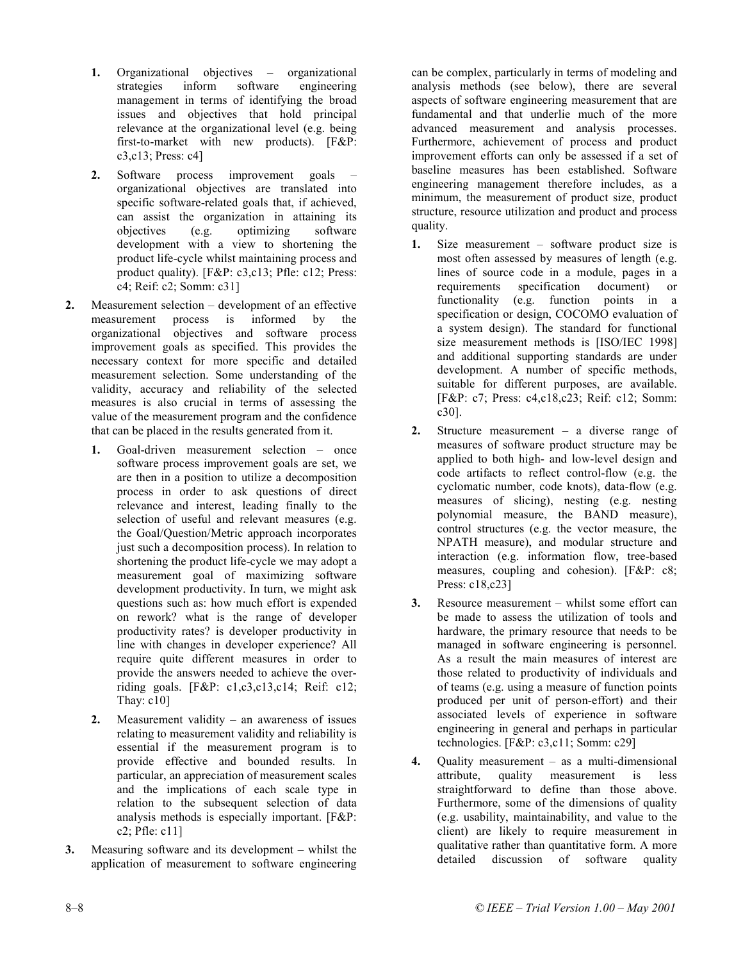- **1.** Organizational objectives organizational strategies inform software engineering management in terms of identifying the broad issues and objectives that hold principal relevance at the organizational level (e.g. being first-to-market with new products). [F&P: c3,c13; Press: c4]
- **2.** Software process improvement goals organizational objectives are translated into specific software-related goals that, if achieved, can assist the organization in attaining its objectives (e.g. optimizing software development with a view to shortening the product life-cycle whilst maintaining process and product quality). [F&P: c3,c13; Pfle: c12; Press: c4; Reif: c2; Somm: c31]
- **2.** Measurement selection development of an effective measurement process is informed by the organizational objectives and software process improvement goals as specified. This provides the necessary context for more specific and detailed measurement selection. Some understanding of the validity, accuracy and reliability of the selected measures is also crucial in terms of assessing the value of the measurement program and the confidence that can be placed in the results generated from it.
	- **1.** Goal-driven measurement selection once software process improvement goals are set, we are then in a position to utilize a decomposition process in order to ask questions of direct relevance and interest, leading finally to the selection of useful and relevant measures (e.g. the Goal/Question/Metric approach incorporates just such a decomposition process). In relation to shortening the product life-cycle we may adopt a measurement goal of maximizing software development productivity. In turn, we might ask questions such as: how much effort is expended on rework? what is the range of developer productivity rates? is developer productivity in line with changes in developer experience? All require quite different measures in order to provide the answers needed to achieve the overriding goals. [F&P: c1,c3,c13,c14; Reif: c12; Thay: c10]
	- **2.** Measurement validity an awareness of issues relating to measurement validity and reliability is essential if the measurement program is to provide effective and bounded results. In particular, an appreciation of measurement scales and the implications of each scale type in relation to the subsequent selection of data analysis methods is especially important. [F&P: c2; Pfle: c11]
- **3.** Measuring software and its development whilst the application of measurement to software engineering

can be complex, particularly in terms of modeling and analysis methods (see below), there are several aspects of software engineering measurement that are fundamental and that underlie much of the more advanced measurement and analysis processes. Furthermore, achievement of process and product improvement efforts can only be assessed if a set of baseline measures has been established. Software engineering management therefore includes, as a minimum, the measurement of product size, product structure, resource utilization and product and process quality.

- **1.** Size measurement software product size is most often assessed by measures of length (e.g. lines of source code in a module, pages in a requirements specification document) or functionality (e.g. function points in a specification or design, COCOMO evaluation of a system design). The standard for functional size measurement methods is [ISO/IEC 1998] and additional supporting standards are under development. A number of specific methods, suitable for different purposes, are available. [F&P: c7; Press: c4,c18,c23; Reif: c12; Somm: c30].
- **2.** Structure measurement a diverse range of measures of software product structure may be applied to both high- and low-level design and code artifacts to reflect control-flow (e.g. the cyclomatic number, code knots), data-flow (e.g. measures of slicing), nesting (e.g. nesting polynomial measure, the BAND measure), control structures (e.g. the vector measure, the NPATH measure), and modular structure and interaction (e.g. information flow, tree-based measures, coupling and cohesion). [F&P: c8; Press: c18,c23]
- **3.** Resource measurement whilst some effort can be made to assess the utilization of tools and hardware, the primary resource that needs to be managed in software engineering is personnel. As a result the main measures of interest are those related to productivity of individuals and of teams (e.g. using a measure of function points produced per unit of person-effort) and their associated levels of experience in software engineering in general and perhaps in particular technologies. [F&P: c3,c11; Somm: c29]
- **4.** Quality measurement as a multi-dimensional attribute, quality measurement is less straightforward to define than those above. Furthermore, some of the dimensions of quality (e.g. usability, maintainability, and value to the client) are likely to require measurement in qualitative rather than quantitative form. A more detailed discussion of software quality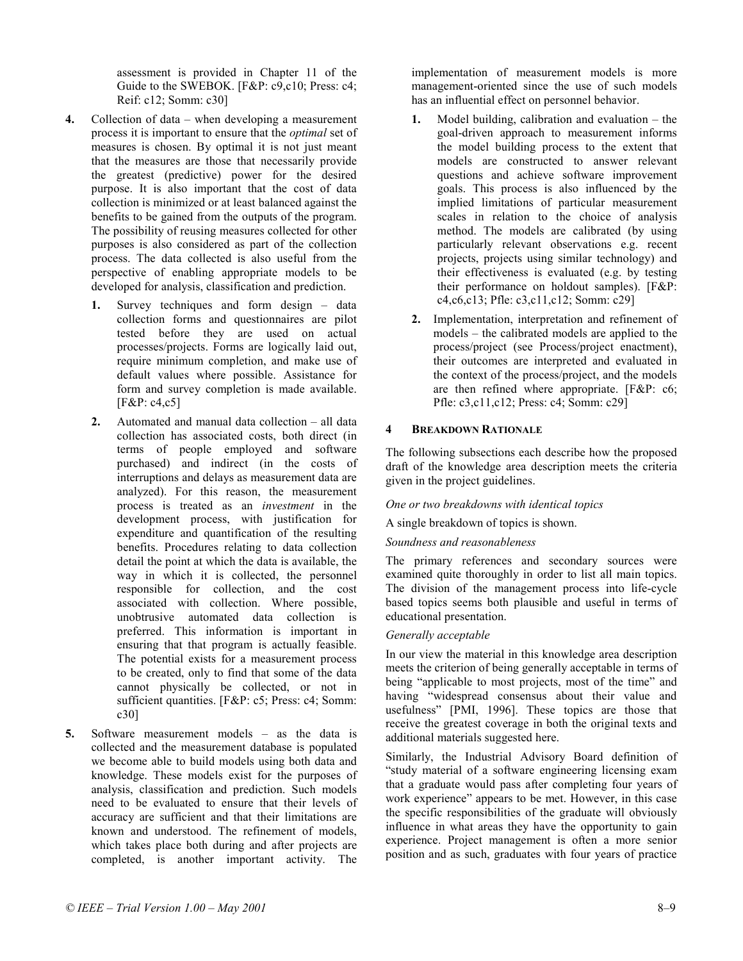assessment is provided in Chapter 11 of the Guide to the SWEBOK. [F&P: c9,c10; Press: c4; Reif: c12; Somm: c30]

- **4.** Collection of data when developing a measurement process it is important to ensure that the *optimal* set of measures is chosen. By optimal it is not just meant that the measures are those that necessarily provide the greatest (predictive) power for the desired purpose. It is also important that the cost of data collection is minimized or at least balanced against the benefits to be gained from the outputs of the program. The possibility of reusing measures collected for other purposes is also considered as part of the collection process. The data collected is also useful from the perspective of enabling appropriate models to be developed for analysis, classification and prediction.
	- **1.** Survey techniques and form design data collection forms and questionnaires are pilot tested before they are used on actual processes/projects. Forms are logically laid out, require minimum completion, and make use of default values where possible. Assistance for form and survey completion is made available. [F&P: c4,c5]
	- **2.** Automated and manual data collection all data collection has associated costs, both direct (in terms of people employed and software purchased) and indirect (in the costs of interruptions and delays as measurement data are analyzed). For this reason, the measurement process is treated as an *investment* in the development process, with justification for expenditure and quantification of the resulting benefits. Procedures relating to data collection detail the point at which the data is available, the way in which it is collected, the personnel responsible for collection, and the cost associated with collection. Where possible, unobtrusive automated data collection is preferred. This information is important in ensuring that that program is actually feasible. The potential exists for a measurement process to be created, only to find that some of the data cannot physically be collected, or not in sufficient quantities. [F&P: c5; Press: c4; Somm: c30]
- **5.** Software measurement models as the data is collected and the measurement database is populated we become able to build models using both data and knowledge. These models exist for the purposes of analysis, classification and prediction. Such models need to be evaluated to ensure that their levels of accuracy are sufficient and that their limitations are known and understood. The refinement of models, which takes place both during and after projects are completed, is another important activity. The

implementation of measurement models is more management-oriented since the use of such models has an influential effect on personnel behavior.

- Model building, calibration and evaluation the goal-driven approach to measurement informs the model building process to the extent that models are constructed to answer relevant questions and achieve software improvement goals. This process is also influenced by the implied limitations of particular measurement scales in relation to the choice of analysis method. The models are calibrated (by using particularly relevant observations e.g. recent projects, projects using similar technology) and their effectiveness is evaluated (e.g. by testing their performance on holdout samples). [F&P: c4,c6,c13; Pfle: c3,c11,c12; Somm: c29]
- **2.** Implementation, interpretation and refinement of models – the calibrated models are applied to the process/project (see Process/project enactment), their outcomes are interpreted and evaluated in the context of the process/project, and the models are then refined where appropriate. [F&P: c6; Pfle: c3,c11,c12; Press: c4; Somm: c29]

## **4 BREAKDOWN RATIONALE**

The following subsections each describe how the proposed draft of the knowledge area description meets the criteria given in the project guidelines.

## *One or two breakdowns with identical topics*

A single breakdown of topics is shown.

## *Soundness and reasonableness*

The primary references and secondary sources were examined quite thoroughly in order to list all main topics. The division of the management process into life-cycle based topics seems both plausible and useful in terms of educational presentation.

## *Generally acceptable*

In our view the material in this knowledge area description meets the criterion of being generally acceptable in terms of being "applicable to most projects, most of the time" and having "widespread consensus about their value and usefulness" [PMI, 1996]. These topics are those that receive the greatest coverage in both the original texts and additional materials suggested here.

Similarly, the Industrial Advisory Board definition of "study material of a software engineering licensing exam that a graduate would pass after completing four years of work experience" appears to be met. However, in this case the specific responsibilities of the graduate will obviously influence in what areas they have the opportunity to gain experience. Project management is often a more senior position and as such, graduates with four years of practice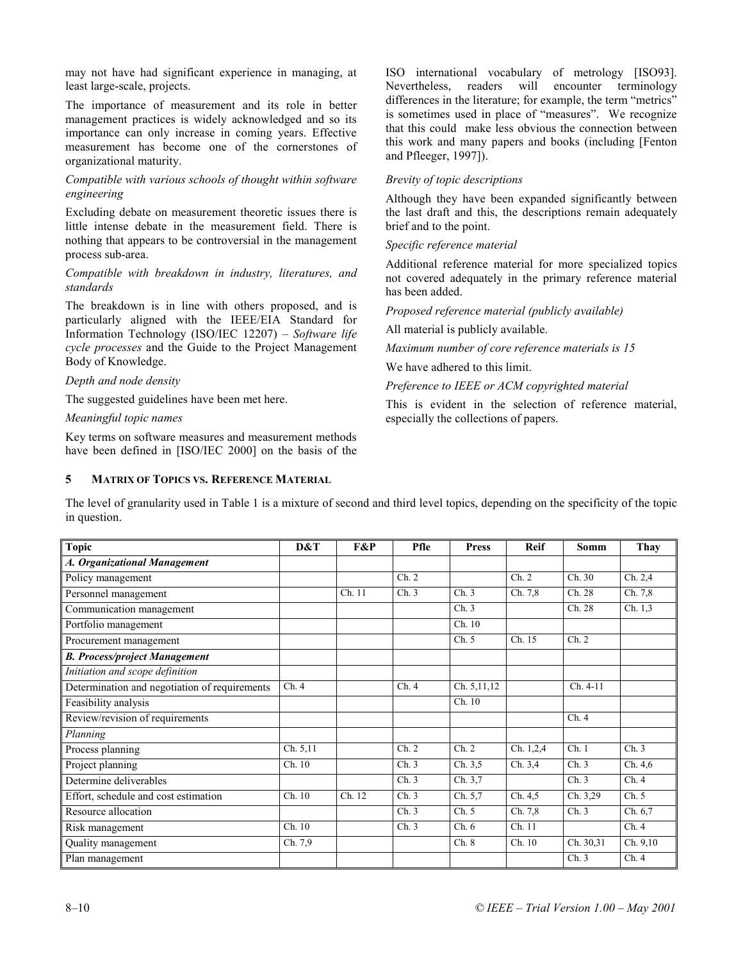may not have had significant experience in managing, at least large-scale, projects.

The importance of measurement and its role in better management practices is widely acknowledged and so its importance can only increase in coming years. Effective measurement has become one of the cornerstones of organizational maturity.

## *Compatible with various schools of thought within software engineering*

Excluding debate on measurement theoretic issues there is little intense debate in the measurement field. There is nothing that appears to be controversial in the management process sub-area.

## *Compatible with breakdown in industry, literatures, and standards*

The breakdown is in line with others proposed, and is particularly aligned with the IEEE/EIA Standard for Information Technology (ISO/IEC 12207) – *Software life cycle processes* and the Guide to the Project Management Body of Knowledge.

## *Depth and node density*

The suggested guidelines have been met here.

## *Meaningful topic names*

Key terms on software measures and measurement methods have been defined in [ISO/IEC 2000] on the basis of the

#### **5 MATRIX OF TOPICS VS. REFERENCE MATERIAL**

ISO international vocabulary of metrology [ISO93]. Nevertheless, readers will encounter terminology differences in the literature; for example, the term "metrics" is sometimes used in place of "measures". We recognize that this could make less obvious the connection between this work and many papers and books (including [Fenton and Pfleeger, 1997]).

## *Brevity of topic descriptions*

Although they have been expanded significantly between the last draft and this, the descriptions remain adequately brief and to the point.

## *Specific reference material*

Additional reference material for more specialized topics not covered adequately in the primary reference material has been added.

*Proposed reference material (publicly available)* 

All material is publicly available.

*Maximum number of core reference materials is 15* 

We have adhered to this limit.

*Preference to IEEE or ACM copyrighted material* 

This is evident in the selection of reference material, especially the collections of papers.

| <b>Topic</b>                                  | D&T      | F&P    | <b>Pfle</b> | <b>Press</b>  | <b>Reif</b> | <b>Somm</b> | <b>Thay</b> |
|-----------------------------------------------|----------|--------|-------------|---------------|-------------|-------------|-------------|
| A. Organizational Management                  |          |        |             |               |             |             |             |
| Policy management                             |          |        | Ch.2        |               | Ch. 2       | Ch. 30      | Ch. 2,4     |
| Personnel management                          |          | Ch. 11 | Ch.3        | Ch.3          | Ch. 7,8     | Ch. 28      | Ch. 7,8     |
| Communication management                      |          |        |             | Ch.3          |             | Ch. 28      | Ch. 1.3     |
| Portfolio management                          |          |        |             | Ch. 10        |             |             |             |
| Procurement management                        |          |        |             | Ch. 5         | Ch. 15      | Ch. 2       |             |
| <b>B. Process/project Management</b>          |          |        |             |               |             |             |             |
| Initiation and scope definition               |          |        |             |               |             |             |             |
| Determination and negotiation of requirements | Ch.4     |        | Ch.4        | Ch. 5, 11, 12 |             | $Ch. 4-11$  |             |
| Feasibility analysis                          |          |        |             | Ch. 10        |             |             |             |
| Review/revision of requirements               |          |        |             |               |             | Ch.4        |             |
| Planning                                      |          |        |             |               |             |             |             |
| Process planning                              | Ch. 5,11 |        | Ch.2        | Ch. 2         | Ch. 1,2,4   | Ch.1        | Ch.3        |
| Project planning                              | Ch. 10   |        | Ch.3        | Ch. 3, 5      | Ch. 3,4     | Ch.3        | Ch. 4,6     |
| Determine deliverables                        |          |        | Ch.3        | Ch. 3.7       |             | Ch.3        | Ch.4        |
| Effort, schedule and cost estimation          | Ch. 10   | Ch. 12 | Ch.3        | Ch. 5,7       | Ch. 4,5     | Ch. 3,29    | Ch. 5       |
| Resource allocation                           |          |        | Ch.3        | Ch. 5         | Ch. 7,8     | Ch.3        | Ch. 6,7     |
| Risk management                               | Ch. 10   |        | Ch.3        | Ch.6          | Ch. 11      |             | Ch.4        |
| Quality management                            | Ch. 7,9  |        |             | Ch. 8         | Ch. 10      | Ch. 30,31   | Ch. 9,10    |
| Plan management                               |          |        |             |               |             | Ch.3        | Ch.4        |

The level of granularity used in Table 1 is a mixture of second and third level topics, depending on the specificity of the topic in question.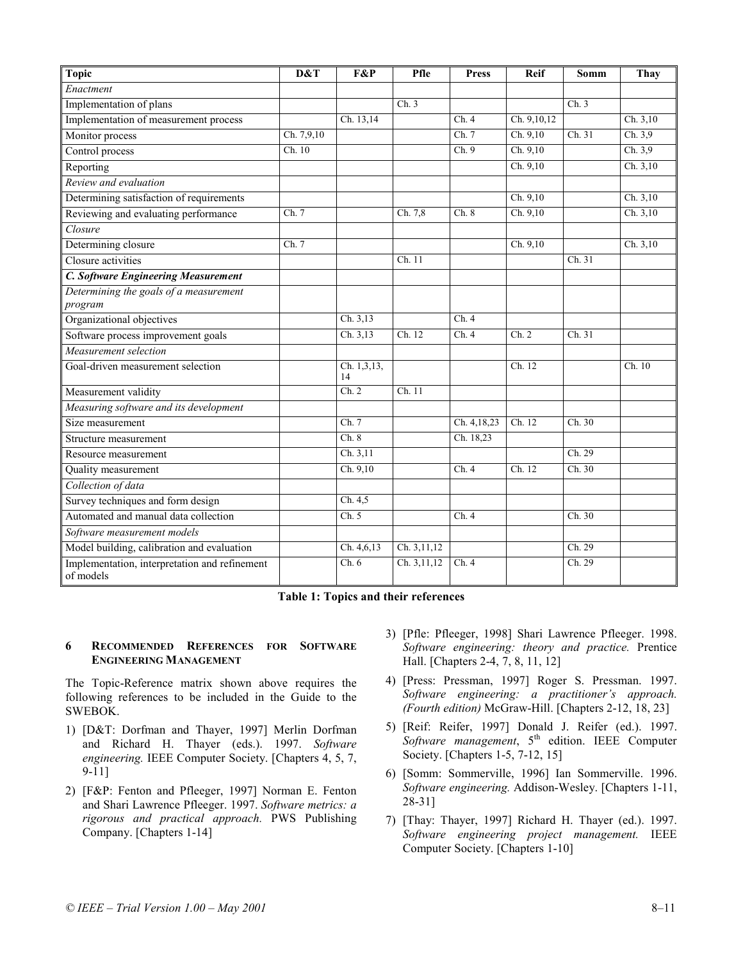| <b>Topic</b>                                               | D&T               | F&P                 | Pfle          | <b>Press</b>       | Reif          | Somm   | <b>Thay</b> |
|------------------------------------------------------------|-------------------|---------------------|---------------|--------------------|---------------|--------|-------------|
| Enactment                                                  |                   |                     |               |                    |               |        |             |
| Implementation of plans                                    |                   |                     | Ch.3          |                    |               | Ch.3   |             |
| Implementation of measurement process                      |                   | Ch. 13,14           |               | Ch.4               | Ch. 9, 10, 12 |        | Ch. 3, 10   |
| Monitor process                                            | Ch. 7,9,10        |                     |               | Ch.7               | Ch. 9,10      | Ch. 31 | Ch. 3.9     |
| Control process                                            | Ch. 10            |                     |               | Ch.9               | Ch. 9, 10     |        | Ch. 3,9     |
| Reporting                                                  |                   |                     |               |                    | Ch. 9,10      |        | Ch. 3, 10   |
| Review and evaluation                                      |                   |                     |               |                    |               |        |             |
| Determining satisfaction of requirements                   |                   |                     |               |                    | Ch. 9, 10     |        | Ch. 3, 10   |
| Reviewing and evaluating performance                       | $\overline{Ch.7}$ |                     | Ch. 7.8       | Ch. 8              | Ch. 9,10      |        | Ch. 3, 10   |
| Closure                                                    |                   |                     |               |                    |               |        |             |
| Determining closure                                        | Ch. 7             |                     |               |                    | Ch. 9,10      |        | Ch. 3,10    |
| Closure activities                                         |                   |                     | Ch. 11        |                    |               | Ch. 31 |             |
| <b>C. Software Engineering Measurement</b>                 |                   |                     |               |                    |               |        |             |
| Determining the goals of a measurement<br>program          |                   |                     |               |                    |               |        |             |
| Organizational objectives                                  |                   | Ch. 3, 13           |               | Ch.4               |               |        |             |
| Software process improvement goals                         |                   | Ch. 3, 13           | Ch. 12        | $\overline{Ch. 4}$ | Ch. 2         | Ch. 31 |             |
| Measurement selection                                      |                   |                     |               |                    |               |        |             |
| Goal-driven measurement selection                          |                   | Ch. 1, 3, 13,<br>14 |               |                    | Ch. 12        |        | Ch. 10      |
| Measurement validity                                       |                   | $\overline{Ch.2}$   | Ch. 11        |                    |               |        |             |
| Measuring software and its development                     |                   |                     |               |                    |               |        |             |
| Size measurement                                           |                   | Ch.7                |               | Ch. 4,18,23        | Ch. 12        | Ch.30  |             |
| Structure measurement                                      |                   | Ch. 8               |               | Ch. 18,23          |               |        |             |
| Resource measurement                                       |                   | Ch. 3, 11           |               |                    |               | Ch. 29 |             |
| Quality measurement                                        |                   | Ch. 9,10            |               | Ch.4               | Ch. 12        | Ch. 30 |             |
| Collection of data                                         |                   |                     |               |                    |               |        |             |
| Survey techniques and form design                          |                   | Ch. 4, 5            |               |                    |               |        |             |
| Automated and manual data collection                       |                   | Ch. 5               |               | Ch. 4              |               | Ch. 30 |             |
| Software measurement models                                |                   |                     |               |                    |               |        |             |
| Model building, calibration and evaluation                 |                   | Ch. 4,6,13          | Ch. 3, 11, 12 |                    |               | Ch. 29 |             |
| Implementation, interpretation and refinement<br>of models |                   | Ch.6                | Ch. 3, 11, 12 | Ch.4               |               | Ch. 29 |             |

**Table 1: Topics and their references**

## **6 RECOMMENDED REFERENCES FOR SOFTWARE ENGINEERING MANAGEMENT**

The Topic-Reference matrix shown above requires the following references to be included in the Guide to the SWEBOK.

- 1) [D&T: Dorfman and Thayer, 1997] Merlin Dorfman and Richard H. Thayer (eds.). 1997. *Software engineering.* IEEE Computer Society. [Chapters 4, 5, 7, 9-11]
- 2) [F&P: Fenton and Pfleeger, 1997] Norman E. Fenton and Shari Lawrence Pfleeger. 1997. *Software metrics: a rigorous and practical approach.* PWS Publishing Company. [Chapters 1-14]
- 3) [Pfle: Pfleeger, 1998] Shari Lawrence Pfleeger. 1998. *Software engineering: theory and practice.* Prentice Hall. [Chapters 2-4, 7, 8, 11, 12]
- 4) [Press: Pressman, 1997] Roger S. Pressman. 1997. *Software engineering: a practitioner's approach. (Fourth edition)* McGraw-Hill. [Chapters 2-12, 18, 23]
- 5) [Reif: Reifer, 1997] Donald J. Reifer (ed.). 1997. *Software management*, 5th edition. IEEE Computer Society. [Chapters 1-5, 7-12, 15]
- 6) [Somm: Sommerville, 1996] Ian Sommerville. 1996. *Software engineering.* Addison-Wesley. [Chapters 1-11, 28-31]
- 7) [Thay: Thayer, 1997] Richard H. Thayer (ed.). 1997. *Software engineering project management.* IEEE Computer Society. [Chapters 1-10]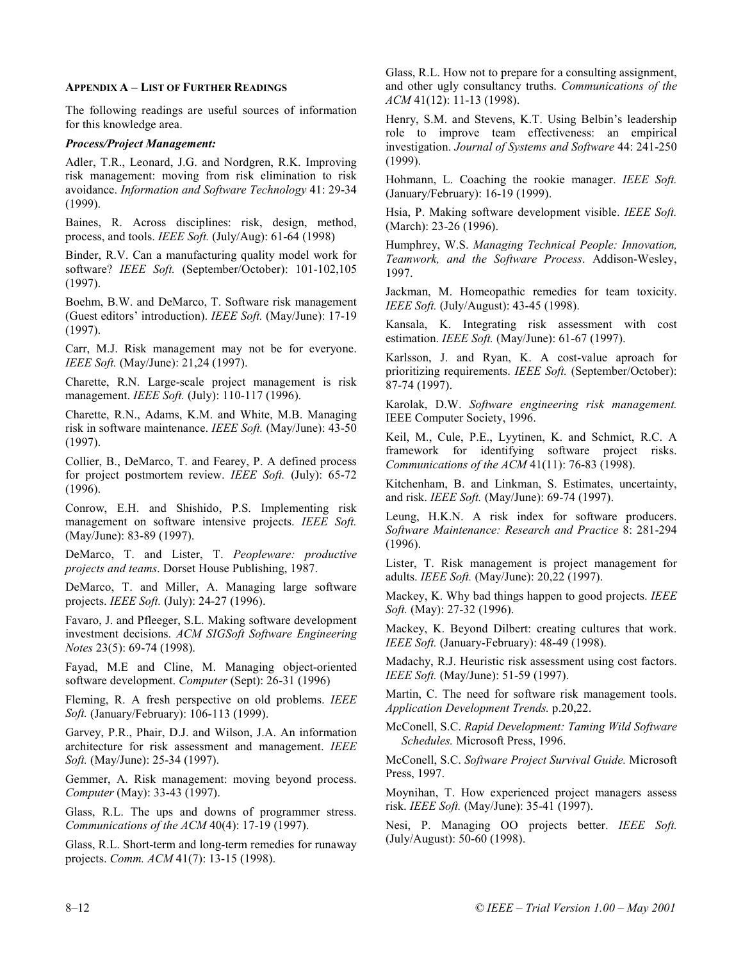## **APPENDIX A – LIST OF FURTHER READINGS**

The following readings are useful sources of information for this knowledge area.

## *Process/Project Management:*

Adler, T.R., Leonard, J.G. and Nordgren, R.K. Improving risk management: moving from risk elimination to risk avoidance. *Information and Software Technology* 41: 29-34 (1999).

Baines, R. Across disciplines: risk, design, method, process, and tools. *IEEE Soft.* (July/Aug): 61-64 (1998)

Binder, R.V. Can a manufacturing quality model work for software? *IEEE Soft.* (September/October): 101-102,105 (1997).

Boehm, B.W. and DeMarco, T. Software risk management (Guest editors' introduction). *IEEE Soft.* (May/June): 17-19 (1997).

Carr, M.J. Risk management may not be for everyone. *IEEE Soft.* (May/June): 21,24 (1997).

Charette, R.N. Large-scale project management is risk management. *IEEE Soft.* (July): 110-117 (1996).

Charette, R.N., Adams, K.M. and White, M.B. Managing risk in software maintenance. *IEEE Soft.* (May/June): 43-50 (1997).

Collier, B., DeMarco, T. and Fearey, P. A defined process for project postmortem review. *IEEE Soft.* (July): 65-72 (1996).

Conrow, E.H. and Shishido, P.S. Implementing risk management on software intensive projects. *IEEE Soft.* (May/June): 83-89 (1997).

DeMarco, T. and Lister, T. *Peopleware: productive projects and teams*. Dorset House Publishing, 1987.

DeMarco, T. and Miller, A. Managing large software projects. *IEEE Soft.* (July): 24-27 (1996).

Favaro, J. and Pfleeger, S.L. Making software development investment decisions. *ACM SIGSoft Software Engineering Notes* 23(5): 69-74 (1998).

Fayad, M.E and Cline, M. Managing object-oriented software development. *Computer* (Sept): 26-31 (1996)

Fleming, R. A fresh perspective on old problems. *IEEE Soft.* (January/February): 106-113 (1999).

Garvey, P.R., Phair, D.J. and Wilson, J.A. An information architecture for risk assessment and management. *IEEE Soft.* (May/June): 25-34 (1997).

Gemmer, A. Risk management: moving beyond process. *Computer* (May): 33-43 (1997).

Glass, R.L. The ups and downs of programmer stress. *Communications of the ACM* 40(4): 17-19 (1997).

Glass, R.L. Short-term and long-term remedies for runaway projects. *Comm. ACM* 41(7): 13-15 (1998).

Glass, R.L. How not to prepare for a consulting assignment, and other ugly consultancy truths. *Communications of the ACM* 41(12): 11-13 (1998).

Henry, S.M. and Stevens, K.T. Using Belbin's leadership role to improve team effectiveness: an empirical investigation. *Journal of Systems and Software* 44: 241-250 (1999).

Hohmann, L. Coaching the rookie manager. *IEEE Soft.* (January/February): 16-19 (1999).

Hsia, P. Making software development visible. *IEEE Soft.* (March): 23-26 (1996).

Humphrey, W.S. *Managing Technical People: Innovation, Teamwork, and the Software Process*. Addison-Wesley, 1997.

Jackman, M. Homeopathic remedies for team toxicity. *IEEE Soft.* (July/August): 43-45 (1998).

Kansala, K. Integrating risk assessment with cost estimation. *IEEE Soft.* (May/June): 61-67 (1997).

Karlsson, J. and Ryan, K. A cost-value aproach for prioritizing requirements. *IEEE Soft.* (September/October): 87-74 (1997).

Karolak, D.W. *Software engineering risk management.*  IEEE Computer Society, 1996.

Keil, M., Cule, P.E., Lyytinen, K. and Schmict, R.C. A framework for identifying software project risks. *Communications of the ACM* 41(11): 76-83 (1998).

Kitchenham, B. and Linkman, S. Estimates, uncertainty, and risk. *IEEE Soft.* (May/June): 69-74 (1997).

Leung, H.K.N. A risk index for software producers. *Software Maintenance: Research and Practice* 8: 281-294 (1996).

Lister, T. Risk management is project management for adults. *IEEE Soft.* (May/June): 20,22 (1997).

Mackey, K. Why bad things happen to good projects. *IEEE Soft.* (May): 27-32 (1996).

Mackey, K. Beyond Dilbert: creating cultures that work. *IEEE Soft.* (January-February): 48-49 (1998).

Madachy, R.J. Heuristic risk assessment using cost factors. *IEEE Soft.* (May/June): 51-59 (1997).

Martin, C. The need for software risk management tools. *Application Development Trends.* p.20,22.

McConell, S.C. *Rapid Development: Taming Wild Software Schedules.* Microsoft Press, 1996.

McConell, S.C. *Software Project Survival Guide.* Microsoft Press, 1997.

Moynihan, T. How experienced project managers assess risk. *IEEE Soft.* (May/June): 35-41 (1997).

Nesi, P. Managing OO projects better. *IEEE Soft.* (July/August): 50-60 (1998).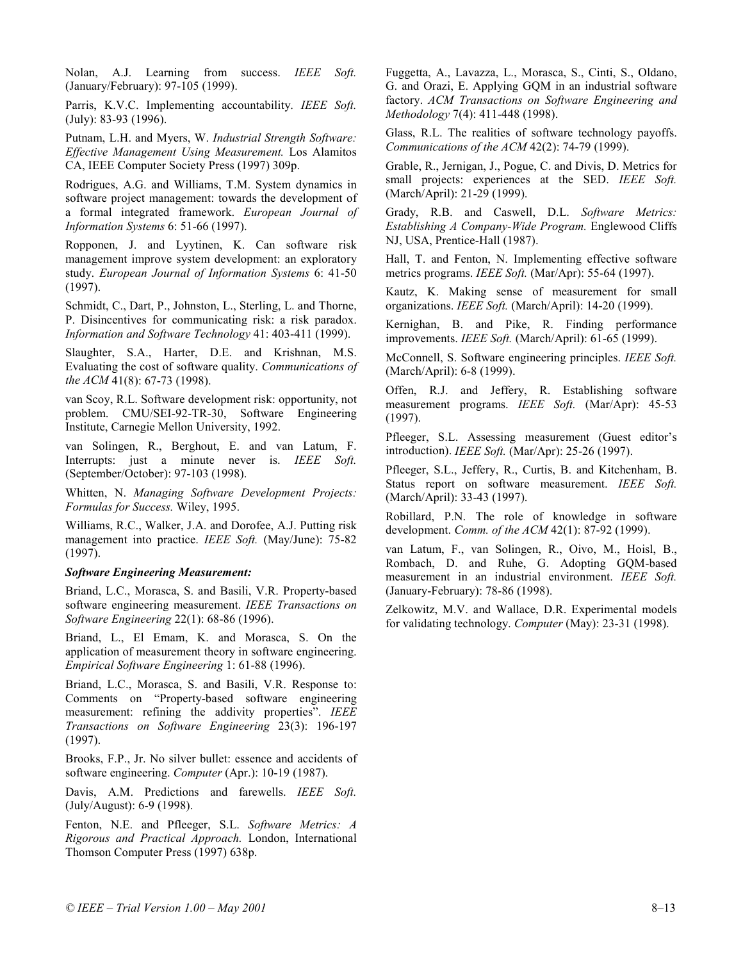Nolan, A.J. Learning from success. *IEEE Soft.* (January/February): 97-105 (1999).

Parris, K.V.C. Implementing accountability. *IEEE Soft.* (July): 83-93 (1996).

Putnam, L.H. and Myers, W. *Industrial Strength Software: Effective Management Using Measurement.* Los Alamitos CA, IEEE Computer Society Press (1997) 309p.

Rodrigues, A.G. and Williams, T.M. System dynamics in software project management: towards the development of a formal integrated framework. *European Journal of Information Systems* 6: 51-66 (1997).

Ropponen, J. and Lyytinen, K. Can software risk management improve system development: an exploratory study. *European Journal of Information Systems* 6: 41-50 (1997).

Schmidt, C., Dart, P., Johnston, L., Sterling, L. and Thorne, P. Disincentives for communicating risk: a risk paradox. *Information and Software Technology* 41: 403-411 (1999).

Slaughter, S.A., Harter, D.E. and Krishnan, M.S. Evaluating the cost of software quality. *Communications of the ACM* 41(8): 67-73 (1998).

van Scoy, R.L. Software development risk: opportunity, not problem. CMU/SEI-92-TR-30, Software Engineering Institute, Carnegie Mellon University, 1992.

van Solingen, R., Berghout, E. and van Latum, F. Interrupts: just a minute never is. *IEEE Soft.* (September/October): 97-103 (1998).

Whitten, N. *Managing Software Development Projects: Formulas for Success.* Wiley, 1995.

Williams, R.C., Walker, J.A. and Dorofee, A.J. Putting risk management into practice. *IEEE Soft.* (May/June): 75-82 (1997).

#### *Software Engineering Measurement:*

Briand, L.C., Morasca, S. and Basili, V.R. Property-based software engineering measurement. *IEEE Transactions on Software Engineering* 22(1): 68-86 (1996).

Briand, L., El Emam, K. and Morasca, S. On the application of measurement theory in software engineering. *Empirical Software Engineering* 1: 61-88 (1996).

Briand, L.C., Morasca, S. and Basili, V.R. Response to: Comments on "Property-based software engineering measurement: refining the addivity properties". *IEEE Transactions on Software Engineering* 23(3): 196-197 (1997).

Brooks, F.P., Jr. No silver bullet: essence and accidents of software engineering. *Computer* (Apr.): 10-19 (1987).

Davis, A.M. Predictions and farewells. *IEEE Soft.* (July/August): 6-9 (1998).

Fenton, N.E. and Pfleeger, S.L. *Software Metrics: A Rigorous and Practical Approach.* London, International Thomson Computer Press (1997) 638p.

Fuggetta, A., Lavazza, L., Morasca, S., Cinti, S., Oldano, G. and Orazi, E. Applying GQM in an industrial software factory. *ACM Transactions on Software Engineering and Methodology* 7(4): 411-448 (1998).

Glass, R.L. The realities of software technology payoffs. *Communications of the ACM* 42(2): 74-79 (1999).

Grable, R., Jernigan, J., Pogue, C. and Divis, D. Metrics for small projects: experiences at the SED. *IEEE Soft.* (March/April): 21-29 (1999).

Grady, R.B. and Caswell, D.L. *Software Metrics: Establishing A Company-Wide Program.* Englewood Cliffs NJ, USA, Prentice-Hall (1987).

Hall, T. and Fenton, N. Implementing effective software metrics programs. *IEEE Soft.* (Mar/Apr): 55-64 (1997).

Kautz, K. Making sense of measurement for small organizations. *IEEE Soft.* (March/April): 14-20 (1999).

Kernighan, B. and Pike, R. Finding performance improvements. *IEEE Soft.* (March/April): 61-65 (1999).

McConnell, S. Software engineering principles. *IEEE Soft.* (March/April): 6-8 (1999).

Offen, R.J. and Jeffery, R. Establishing software measurement programs. *IEEE Soft.* (Mar/Apr): 45-53 (1997).

Pfleeger, S.L. Assessing measurement (Guest editor's introduction). *IEEE Soft.* (Mar/Apr): 25-26 (1997).

Pfleeger, S.L., Jeffery, R., Curtis, B. and Kitchenham, B. Status report on software measurement. *IEEE Soft.* (March/April): 33-43 (1997).

Robillard, P.N. The role of knowledge in software development. *Comm. of the ACM* 42(1): 87-92 (1999).

van Latum, F., van Solingen, R., Oivo, M., Hoisl, B., Rombach, D. and Ruhe, G. Adopting GQM-based measurement in an industrial environment. *IEEE Soft.* (January-February): 78-86 (1998).

Zelkowitz, M.V. and Wallace, D.R. Experimental models for validating technology. *Computer* (May): 23-31 (1998).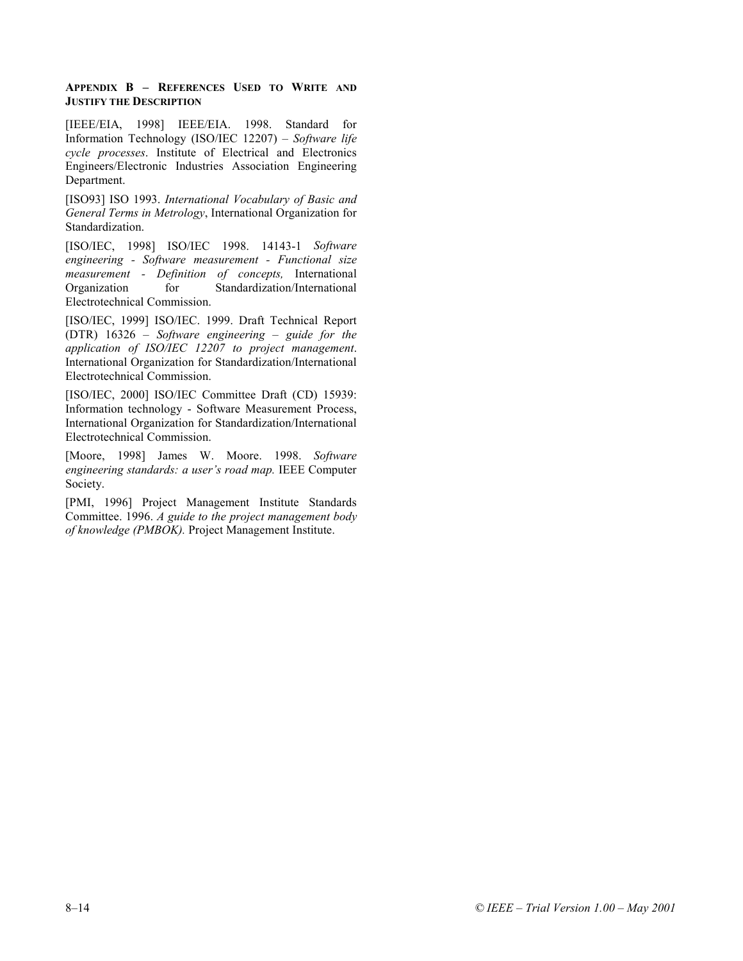## **APPENDIX B – REFERENCES USED TO WRITE AND JUSTIFY THE DESCRIPTION**

[IEEE/EIA, 1998] IEEE/EIA. 1998. Standard for Information Technology (ISO/IEC 12207) – *Software life cycle processes*. Institute of Electrical and Electronics Engineers/Electronic Industries Association Engineering Department.

[ISO93] ISO 1993. *International Vocabulary of Basic and General Terms in Metrology*, International Organization for Standardization.

[ISO/IEC, 1998] ISO/IEC 1998. 14143-1 *Software engineering - Software measurement - Functional size measurement - Definition of concepts,* International Organization for Standardization/International Electrotechnical Commission.

[ISO/IEC, 1999] ISO/IEC. 1999. Draft Technical Report (DTR) 16326 – *Software engineering – guide for the application of ISO/IEC 12207 to project management*. International Organization for Standardization/International Electrotechnical Commission.

[ISO/IEC, 2000] ISO/IEC Committee Draft (CD) 15939: Information technology - Software Measurement Process, International Organization for Standardization/International Electrotechnical Commission.

[Moore, 1998] James W. Moore. 1998. *Software engineering standards: a user's road map.* IEEE Computer Society.

[PMI, 1996] Project Management Institute Standards Committee. 1996. *A guide to the project management body of knowledge (PMBOK).* Project Management Institute.